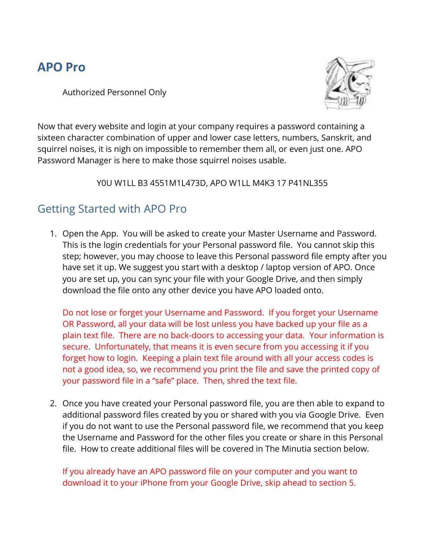# **APO Pro**

Authorized Personnel Only



Now that every website and login at your company requires a password containing a sixteen character combination of upper and lower case letters, numbers, Sanskrit, and squirrel noises, it is nigh on impossible to remember them all, or even just one. APO Password Manager is here to make those squirrel noises usable.

Y0U W1LL B3 4551M1L473D, APO W1LL M4K3 17 P41NL355

### Getting Started with APO Pro

1. Open the App. You will be asked to create your Master Username and Password. This is the login credentials for your Personal password file. You cannot skip this step; however, you may choose to leave this Personal password file empty after you have set it up. We suggest you start with a desktop / laptop version of APO. Once you are set up, you can sync your file with your Google Drive, and then simply download the file onto any other device you have APO loaded onto.

Do not lose or forget your Username and Password. If you forget your Username OR Password, all your data will be lost unless you have backed up your file as a plain text file. There are no back-doors to accessing your data. Your information is secure. Unfortunately, that means it is even secure from you accessing it if you forget how to login. Keeping a plain text file around with all your access codes is not a good idea, so, we recommend you print the file and save the printed copy of your password file in a "safe" place. Then, shred the text file.

2. Once you have created your Personal password file, you are then able to expand to additional password files created by you or shared with you via Google Drive. Even if you do not want to use the Personal password file, we recommend that you keep the Username and Password for the other files you create or share in this Personal file. How to create additional files will be covered in The Minutia section below.

If you already have an APO password file on your computer and you want to download it to your iPhone from your Google Drive, skip ahead to section 5.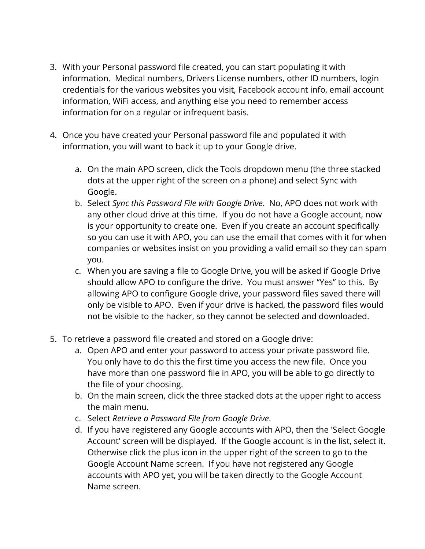- 3. With your Personal password file created, you can start populating it with information. Medical numbers, Drivers License numbers, other ID numbers, login credentials for the various websites you visit, Facebook account info, email account information, WiFi access, and anything else you need to remember access information for on a regular or infrequent basis.
- 4. Once you have created your Personal password file and populated it with information, you will want to back it up to your Google drive.
	- a. On the main APO screen, click the Tools dropdown menu (the three stacked dots at the upper right of the screen on a phone) and select Sync with Google.
	- b. Select *Sync this Password File with Google Drive*. No, APO does not work with any other cloud drive at this time. If you do not have a Google account, now is your opportunity to create one. Even if you create an account specifically so you can use it with APO, you can use the email that comes with it for when companies or websites insist on you providing a valid email so they can spam you.
	- c. When you are saving a file to Google Drive, you will be asked if Google Drive should allow APO to configure the drive. You must answer "Yes" to this. By allowing APO to configure Google drive, your password files saved there will only be visible to APO. Even if your drive is hacked, the password files would not be visible to the hacker, so they cannot be selected and downloaded.
- 5. To retrieve a password file created and stored on a Google drive:
	- a. Open APO and enter your password to access your private password file. You only have to do this the first time you access the new file. Once you have more than one password file in APO, you will be able to go directly to the file of your choosing.
	- b. On the main screen, click the three stacked dots at the upper right to access the main menu.
	- c. Select *Retrieve a Password File from Google Drive*.
	- d. If you have registered any Google accounts with APO, then the 'Select Google Account' screen will be displayed. If the Google account is in the list, select it. Otherwise click the plus icon in the upper right of the screen to go to the Google Account Name screen. If you have not registered any Google accounts with APO yet, you will be taken directly to the Google Account Name screen.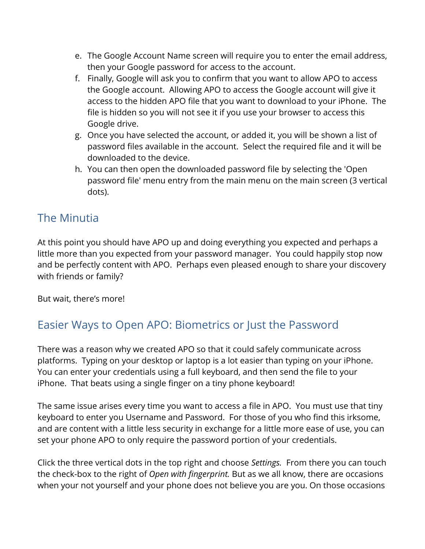- e. The Google Account Name screen will require you to enter the email address, then your Google password for access to the account.
- f. Finally, Google will ask you to confirm that you want to allow APO to access the Google account. Allowing APO to access the Google account will give it access to the hidden APO file that you want to download to your iPhone. The file is hidden so you will not see it if you use your browser to access this Google drive.
- g. Once you have selected the account, or added it, you will be shown a list of password files available in the account. Select the required file and it will be downloaded to the device.
- h. You can then open the downloaded password file by selecting the 'Open password file' menu entry from the main menu on the main screen (3 vertical dots).

### The Minutia

At this point you should have APO up and doing everything you expected and perhaps a little more than you expected from your password manager. You could happily stop now and be perfectly content with APO. Perhaps even pleased enough to share your discovery with friends or family?

But wait, there's more!

### Easier Ways to Open APO: Biometrics or Just the Password

There was a reason why we created APO so that it could safely communicate across platforms. Typing on your desktop or laptop is a lot easier than typing on your iPhone. You can enter your credentials using a full keyboard, and then send the file to your iPhone. That beats using a single finger on a tiny phone keyboard!

The same issue arises every time you want to access a file in APO. You must use that tiny keyboard to enter you Username and Password. For those of you who find this irksome, and are content with a little less security in exchange for a little more ease of use, you can set your phone APO to only require the password portion of your credentials.

Click the three vertical dots in the top right and choose *Settings.* From there you can touch the check-box to the right of *Open with fingerprint.* But as we all know, there are occasions when your not yourself and your phone does not believe you are you. On those occasions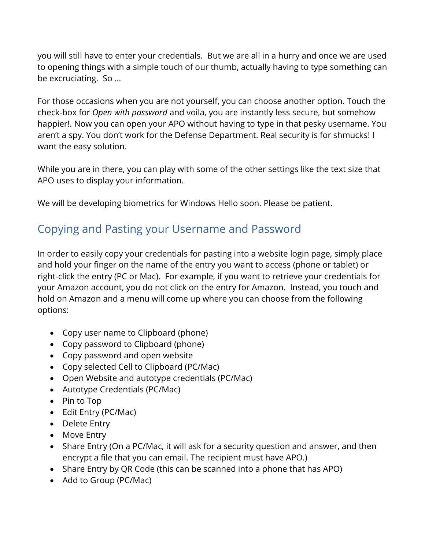you will still have to enter your credentials. But we are all in a hurry and once we are used to opening things with a simple touch of our thumb, actually having to type something can be excruciating. So …

For those occasions when you are not yourself, you can choose another option. Touch the check-box for *Open with password* and voila, you are instantly less secure, but somehow happier!. Now you can open your APO without having to type in that pesky username. You aren't a spy. You don't work for the Defense Department. Real security is for shmucks! I want the easy solution.

While you are in there, you can play with some of the other settings like the text size that APO uses to display your information.

We will be developing biometrics for Windows Hello soon. Please be patient.

### Copying and Pasting your Username and Password

In order to easily copy your credentials for pasting into a website login page, simply place and hold your finger on the name of the entry you want to access (phone or tablet) or right-click the entry (PC or Mac). For example, if you want to retrieve your credentials for your Amazon account, you do not click on the entry for Amazon. Instead, you touch and hold on Amazon and a menu will come up where you can choose from the following options:

- Copy user name to Clipboard (phone)
- Copy password to Clipboard (phone)
- Copy password and open website
- Copy selected Cell to Clipboard (PC/Mac)
- Open Website and autotype credentials (PC/Mac)
- Autotype Credentials (PC/Mac)
- Pin to Top
- Edit Entry (PC/Mac)
- Delete Entry
- Move Entry
- Share Entry (On a PC/Mac, it will ask for a security question and answer, and then encrypt a file that you can email. The recipient must have APO.)
- Share Entry by QR Code (this can be scanned into a phone that has APO)
- Add to Group (PC/Mac)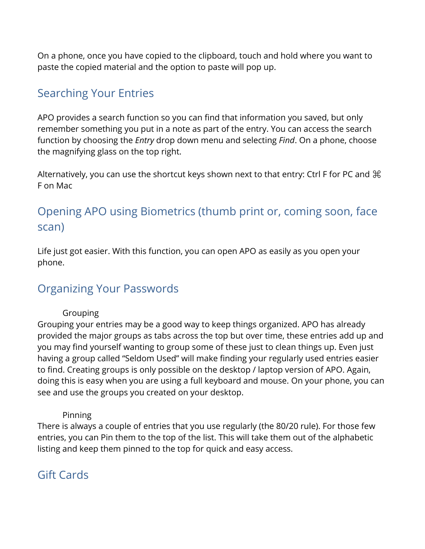On a phone, once you have copied to the clipboard, touch and hold where you want to paste the copied material and the option to paste will pop up.

#### Searching Your Entries

APO provides a search function so you can find that information you saved, but only remember something you put in a note as part of the entry. You can access the search function by choosing the *Entry* drop down menu and selecting *Find*. On a phone, choose the magnifying glass on the top right.

Alternatively, you can use the shortcut keys shown next to that entry: Ctrl F for PC and  $\mathcal H$ F on Mac

# Opening APO using Biometrics (thumb print or, coming soon, face scan)

Life just got easier. With this function, you can open APO as easily as you open your phone.

### Organizing Your Passwords

#### **Grouping**

Grouping your entries may be a good way to keep things organized. APO has already provided the major groups as tabs across the top but over time, these entries add up and you may find yourself wanting to group some of these just to clean things up. Even just having a group called "Seldom Used" will make finding your regularly used entries easier to find. Creating groups is only possible on the desktop / laptop version of APO. Again, doing this is easy when you are using a full keyboard and mouse. On your phone, you can see and use the groups you created on your desktop.

#### Pinning

There is always a couple of entries that you use regularly (the 80/20 rule). For those few entries, you can Pin them to the top of the list. This will take them out of the alphabetic listing and keep them pinned to the top for quick and easy access.

### Gift Cards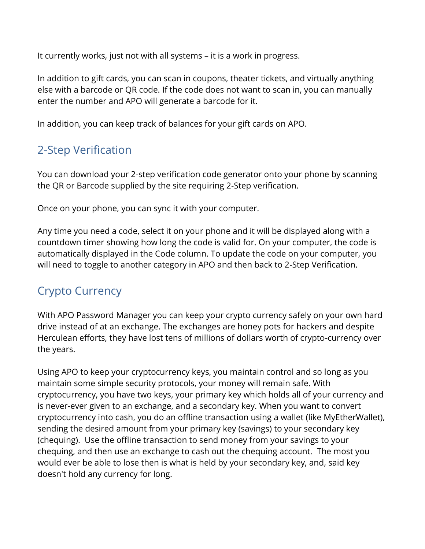It currently works, just not with all systems – it is a work in progress.

In addition to gift cards, you can scan in coupons, theater tickets, and virtually anything else with a barcode or QR code. If the code does not want to scan in, you can manually enter the number and APO will generate a barcode for it.

In addition, you can keep track of balances for your gift cards on APO.

### 2-Step Verification

You can download your 2-step verification code generator onto your phone by scanning the QR or Barcode supplied by the site requiring 2-Step verification.

Once on your phone, you can sync it with your computer.

Any time you need a code, select it on your phone and it will be displayed along with a countdown timer showing how long the code is valid for. On your computer, the code is automatically displayed in the Code column. To update the code on your computer, you will need to toggle to another category in APO and then back to 2-Step Verification.

### Crypto Currency

With APO Password Manager you can keep your crypto currency safely on your own hard drive instead of at an exchange. The exchanges are honey pots for hackers and despite Herculean efforts, they have lost tens of millions of dollars worth of crypto-currency over the years.

Using APO to keep your cryptocurrency keys, you maintain control and so long as you maintain some simple security protocols, your money will remain safe. With cryptocurrency, you have two keys, your primary key which holds all of your currency and is never-ever given to an exchange, and a secondary key. When you want to convert cryptocurrency into cash, you do an offline transaction using a wallet (like MyEtherWallet), sending the desired amount from your primary key (savings) to your secondary key (chequing). Use the offline transaction to send money from your savings to your chequing, and then use an exchange to cash out the chequing account. The most you would ever be able to lose then is what is held by your secondary key, and, said key doesn't hold any currency for long.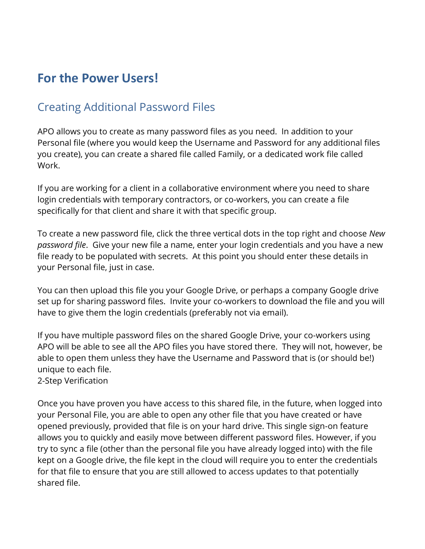# **For the Power Users!**

### Creating Additional Password Files

APO allows you to create as many password files as you need. In addition to your Personal file (where you would keep the Username and Password for any additional files you create), you can create a shared file called Family, or a dedicated work file called Work.

If you are working for a client in a collaborative environment where you need to share login credentials with temporary contractors, or co-workers, you can create a file specifically for that client and share it with that specific group.

To create a new password file, click the three vertical dots in the top right and choose *New password file*. Give your new file a name, enter your login credentials and you have a new file ready to be populated with secrets. At this point you should enter these details in your Personal file, just in case.

You can then upload this file you your Google Drive, or perhaps a company Google drive set up for sharing password files. Invite your co-workers to download the file and you will have to give them the login credentials (preferably not via email).

If you have multiple password files on the shared Google Drive, your co-workers using APO will be able to see all the APO files you have stored there. They will not, however, be able to open them unless they have the Username and Password that is (or should be!) unique to each file.

2-Step Verification

Once you have proven you have access to this shared file, in the future, when logged into your Personal File, you are able to open any other file that you have created or have opened previously, provided that file is on your hard drive. This single sign-on feature allows you to quickly and easily move between different password files. However, if you try to sync a file (other than the personal file you have already logged into) with the file kept on a Google drive, the file kept in the cloud will require you to enter the credentials for that file to ensure that you are still allowed to access updates to that potentially shared file.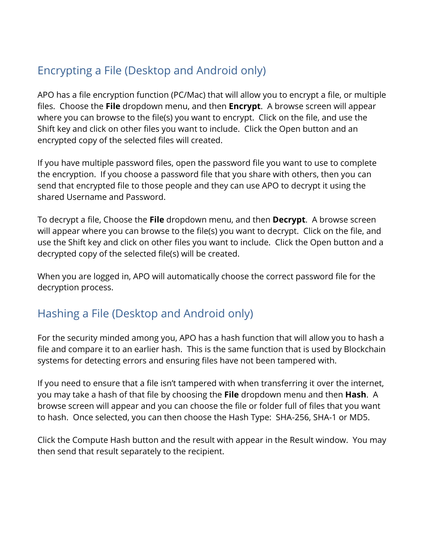# Encrypting a File (Desktop and Android only)

APO has a file encryption function (PC/Mac) that will allow you to encrypt a file, or multiple files. Choose the **File** dropdown menu, and then **Encrypt**. A browse screen will appear where you can browse to the file(s) you want to encrypt. Click on the file, and use the Shift key and click on other files you want to include. Click the Open button and an encrypted copy of the selected files will created.

If you have multiple password files, open the password file you want to use to complete the encryption. If you choose a password file that you share with others, then you can send that encrypted file to those people and they can use APO to decrypt it using the shared Username and Password.

To decrypt a file, Choose the **File** dropdown menu, and then **Decrypt**. A browse screen will appear where you can browse to the file(s) you want to decrypt. Click on the file, and use the Shift key and click on other files you want to include. Click the Open button and a decrypted copy of the selected file(s) will be created.

When you are logged in, APO will automatically choose the correct password file for the decryption process.

#### Hashing a File (Desktop and Android only)

For the security minded among you, APO has a hash function that will allow you to hash a file and compare it to an earlier hash. This is the same function that is used by Blockchain systems for detecting errors and ensuring files have not been tampered with.

If you need to ensure that a file isn't tampered with when transferring it over the internet, you may take a hash of that file by choosing the **File** dropdown menu and then **Hash**. A browse screen will appear and you can choose the file or folder full of files that you want to hash. Once selected, you can then choose the Hash Type: SHA-256, SHA-1 or MD5.

Click the Compute Hash button and the result with appear in the Result window. You may then send that result separately to the recipient.